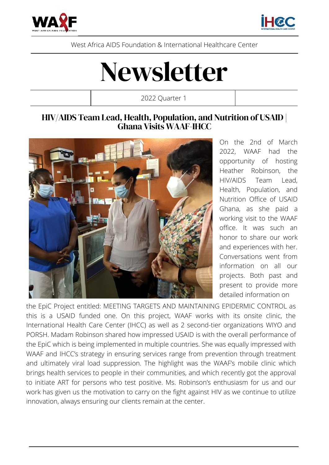



West Africa AIDS Foundation & International Healthcare Center

# Newsletter

2022 Quarter 1

#### HIV/AIDS Team Lead, Health, Population, and Nutrition of USAID | Ghana Visits WAAF-IHCC



On the 2nd of March 2022, WAAF had the opportunity of hosting Heather Robinson, the HIV/AIDS Team Lead, Health, Population, and Nutrition Office of USAID Ghana, as she paid a working visit to the WAAF office. It was such an honor to share our work and experiences with her. Conversations went from information on all our projects. Both past and present to provide more detailed information on

the EpiC Project entitled: MEETING TARGETS AND MAINTAINING EPIDERMIC CONTROL as this is a USAID funded one. On this project, WAAF works with its onsite clinic, the International Health Care Center (IHCC) as well as 2 second-tier organizations WIYO and PORSH. Madam Robinson shared how impressed USAID is with the overall performance of the EpiC which is being implemented in multiple countries. She was equally impressed with WAAF and IHCC's strategy in ensuring services range from prevention through treatment and ultimately viral load suppression. The highlight was the WAAF's mobile clinic which brings health services to people in their communities, and which recently got the approval to initiate ART for persons who test positive. Ms. Robinson's enthusiasm for us and our work has given us the motivation to carry on the fight against HIV as we continue to utilize innovation, always ensuring our clients remain at the center.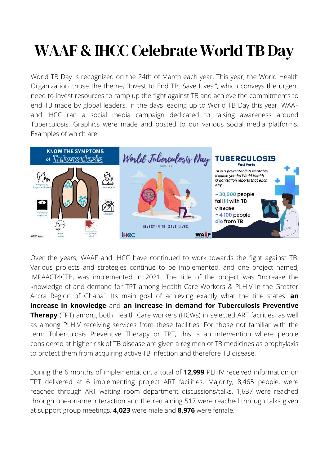# WAAF & IHCC Celebrate World TB Day

World TB Day is recognized on the 24th of March each year. This year, the World Health Organization chose the theme, "Invest to End TB. Save Lives.", which conveys the urgent need to invest resources to ramp up the fight against TB and achieve the commitments to end TB made by global leaders. In the days leading up to World TB Day this year, WAAF and IHCC ran a social media campaign dedicated to raising awareness around Tuberculosis. Graphics were made and posted to our various social media platforms. Examples of which are:



Over the years, WAAF and IHCC have continued to work towards the fight against TB. Various projects and strategies continue to be implemented, and one project named, IMPAACT4CTB, was implemented in 2021. The title of the project was "Increase the knowledge of and demand for TPT among Health Care Workers & PLHIV in the Greater Accra Region of Ghana". Its main goal of achieving exactly what the title states: **an increase in knowledge** and **an increase in demand for Tuberculosis Preventive Therapy** (TPT) among both Health Care workers (HCWs) in selected ART facilities, as well as among PLHIV receiving services from these facilities. For those not familiar with the term Tuberculosis Preventive Therapy or TPT, this is an intervention where people considered at higher risk of TB disease are given a regimen of TB medicines as prophylaxis to protect them from acquiring active TB infection and therefore TB disease.

During the 6 months of implementation, a total of **12,999** PLHIV received information on TPT delivered at 6 implementing project ART facilities. Majority, 8,465 people, were reached through ART waiting room department discussions/talks, 1,637 were reached through one-on-one interaction and the remaining 517 were reached through talks given at support group meetings. **4,023** were male and **8,976** were female.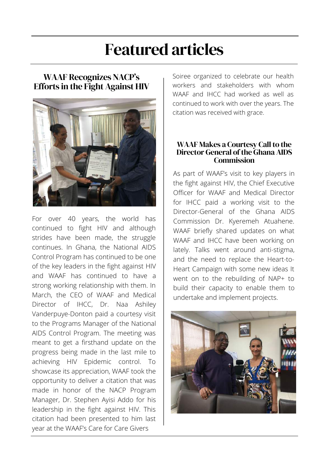# Featured articles

#### WAAF Recognizes NACP's Efforts in the Fight Against HIV



For over 40 years, the world has continued to fight HIV and although strides have been made, the struggle continues. In Ghana, the National AIDS Control Program has continued to be one of the key leaders in the fight against HIV and WAAF has continued to have a strong working relationship with them. In March, the CEO of WAAF and Medical Director of IHCC, Dr. Naa Ashiley Vanderpuye-Donton paid a courtesy visit to the Programs Manager of the National AIDS Control Program. The meeting was meant to get a firsthand update on the progress being made in the last mile to achieving HIV Epidemic control. To showcase its appreciation, WAAF took the opportunity to deliver a citation that was made in honor of the NACP Program Manager, Dr. Stephen Ayisi Addo for his leadership in the fight against HIV. This citation had been presented to him last year at the WAAF's Care for Care Givers

Soiree organized to celebrate our health workers and stakeholders with whom WAAF and IHCC had worked as well as continued to work with over the years. The citation was received with grace.

#### WAAF Makes a Courtesy Call to the Director General of the Ghana AIDS **Commission**

As part of WAAF's visit to key players in the fight against HIV, the Chief Executive Officer for WAAF and Medical Director for IHCC paid a working visit to the Director-General of the Ghana AIDS Commission Dr. Kyeremeh Atuahene. WAAF briefly shared updates on what WAAF and IHCC have been working on lately. Talks went around anti-stigma, and the need to replace the Heart-to-Heart Campaign with some new ideas It went on to the rebuilding of NAP+ to build their capacity to enable them to undertake and implement projects.

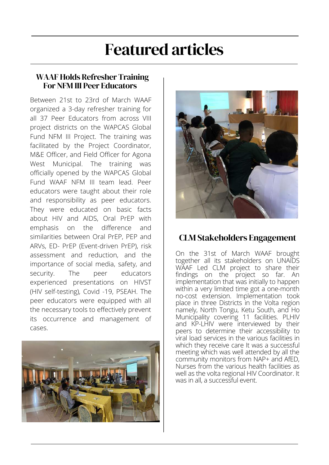## Featured articles

#### WAAF Holds Refresher Training For NFM III Peer Educators

Between 21st to 23rd of March WAAF organized a 3-day refresher training for all 37 Peer Educators from across VIII project districts on the WAPCAS Global Fund NFM III Project. The training was facilitated by the Project Coordinator, M&E Officer, and Field Officer for Agona West Municipal. The training was officially opened by the WAPCAS Global Fund WAAF NFM III team lead. Peer educators were taught about their role and responsibility as peer educators. They were educated on basic facts about HIV and AIDS, Oral PrEP with emphasis on the difference and similarities between Oral PrEP, PEP and ARVs, ED- PrEP (Event-driven PrEP), risk assessment and reduction, and the importance of social media, safety, and security. The peer educators experienced presentations on HIVST (HIV self-testing), Covid -19, PSEAH. The peer educators were equipped with all the necessary tools to effectively prevent its occurrence and management of cases.





#### CLM Stakeholders Engagement

On the 31st of March WAAF brought together all its stakeholders on UNAIDS WAAF Led CLM project to share their findings on the project so far. An implementation that was initially to happen within a very limited time got a one-month no-cost extension. Implementation took place in three Districts in the Volta region namely, North Tongu, Ketu South, and Ho Municipality covering 11 facilities. PLHIV and KP-LHIV were interviewed by their peers to determine their accessibility to viral load services in the various facilities in which they receive care It was a successful meeting which was well attended by all the community monitors from NAP+ and AfED, Nurses from the various health facilities as well as the volta regional HIV Coordinator. It was in all, a successful event.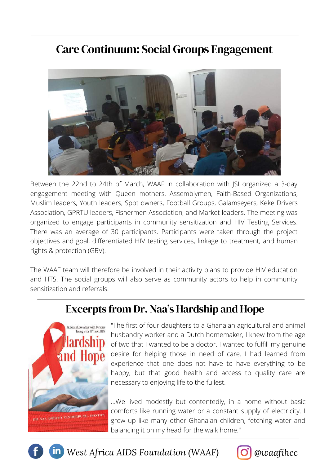### Care Continuum: Social Groups Engagement



Between the 22nd to 24th of March, WAAF in collaboration with JSI organized a 3-day engagement meeting with Queen mothers, Assemblymen, Faith-Based Organizations, Muslim leaders, Youth leaders, Spot owners, Football Groups, Galamseyers, Keke Drivers Association, GPRTU leaders, Fishermen Association, and Market leaders. The meeting was organized to engage participants in community sensitization and HIV Testing Services. There was an average of 30 participants. Participants were taken through the project objectives and goal, differentiated HIV testing services, linkage to treatment, and human rights & protection (GBV).

The WAAF team will therefore be involved in their activity plans to provide HIV education and HTS. The social groups will also serve as community actors to help in community sensitization and referrals.

### Excerpts from Dr. Naa's Hardship and Hope



"The first of four daughters to a Ghanaian agricultural and animal husbandry worker and a Dutch homemaker, I knew from the age of two that I wanted to be a doctor. I wanted to fulfill my genuine desire for helping those in need of care. I had learned from experience that one does not have to have everything to be happy, but that good health and access to quality care are necessary to enjoying life to the fullest.

…We lived modestly but contentedly, in a home without basic comforts like running water or a constant supply of electricity. I grew up like many other Ghanaian children, fetching water and balancing it on my head for the walk home."

*In* West Africa AIDS Foundation (WAAF) *O @waafihcc*